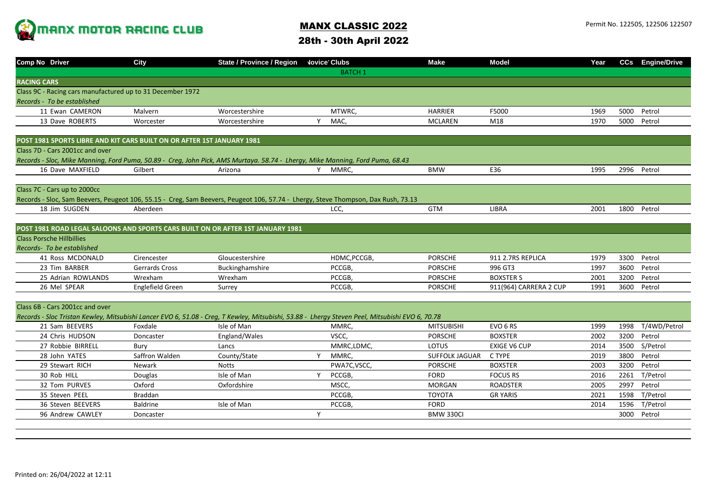

## MANX CLASSIC 2022 28th - 30th April 2022

|                    | Comp No Driver                                                                  | <b>City</b>      | <b>State / Province / Region</b>                                                                                                  |   | <b>Jovice Clubs</b>                                                                                                                             | <b>Make</b>           | <b>Model</b>           | Year |      | CCs Engine/Drive  |
|--------------------|---------------------------------------------------------------------------------|------------------|-----------------------------------------------------------------------------------------------------------------------------------|---|-------------------------------------------------------------------------------------------------------------------------------------------------|-----------------------|------------------------|------|------|-------------------|
|                    |                                                                                 |                  |                                                                                                                                   |   | <b>BATCH 1</b>                                                                                                                                  |                       |                        |      |      |                   |
| <b>RACING CARS</b> |                                                                                 |                  |                                                                                                                                   |   |                                                                                                                                                 |                       |                        |      |      |                   |
|                    | Class 9C - Racing cars manufactured up to 31 December 1972                      |                  |                                                                                                                                   |   |                                                                                                                                                 |                       |                        |      |      |                   |
|                    | Records - To be established                                                     |                  |                                                                                                                                   |   |                                                                                                                                                 |                       |                        |      |      |                   |
|                    | 11 Ewan CAMERON                                                                 | Malvern          | Worcestershire                                                                                                                    |   | MTWRC,                                                                                                                                          | <b>HARRIER</b>        | F5000                  | 1969 |      | 5000 Petrol       |
|                    | 13 Dave ROBERTS                                                                 | Worcester        | Worcestershire                                                                                                                    | Y | MAC,                                                                                                                                            | <b>MCLAREN</b>        | M18                    | 1970 | 5000 | Petrol            |
|                    |                                                                                 |                  |                                                                                                                                   |   |                                                                                                                                                 |                       |                        |      |      |                   |
|                    | POST 1981 SPORTS LIBRE AND KIT CARS BUILT ON OR AFTER 1ST JANUARY 1981          |                  |                                                                                                                                   |   |                                                                                                                                                 |                       |                        |      |      |                   |
|                    | Class 7D - Cars 2001cc and over                                                 |                  |                                                                                                                                   |   |                                                                                                                                                 |                       |                        |      |      |                   |
|                    |                                                                                 |                  | Records - Sloc, Mike Manning, Ford Puma, 50.89 - Creq, John Pick, AMS Murtaya. 58.74 - Lhergy, Mike Manning, Ford Puma, 68.43     |   |                                                                                                                                                 |                       |                        |      |      |                   |
|                    | 16 Dave MAXFIELD                                                                | Gilbert          | Arizona                                                                                                                           | Y | MMRC,                                                                                                                                           | <b>BMW</b>            | E36                    | 1995 |      | 2996 Petrol       |
|                    |                                                                                 |                  |                                                                                                                                   |   |                                                                                                                                                 |                       |                        |      |      |                   |
|                    | Class 7C - Cars up to 2000cc                                                    |                  |                                                                                                                                   |   |                                                                                                                                                 |                       |                        |      |      |                   |
|                    |                                                                                 |                  | Records - Sloc, Sam Beevers, Peugeot 106, 55.15 - Creg, Sam Beevers, Peugeot 106, 57.74 - Lhergy, Steve Thompson, Dax Rush, 73.13 |   |                                                                                                                                                 |                       |                        |      |      |                   |
|                    | 18 Jim SUGDEN                                                                   | Aberdeen         |                                                                                                                                   |   | LCC,                                                                                                                                            | <b>GTM</b>            | <b>LIBRA</b>           | 2001 |      | 1800 Petrol       |
|                    |                                                                                 |                  |                                                                                                                                   |   |                                                                                                                                                 |                       |                        |      |      |                   |
|                    | POST 1981 ROAD LEGAL SALOONS AND SPORTS CARS BUILT ON OR AFTER 1ST JANUARY 1981 |                  |                                                                                                                                   |   |                                                                                                                                                 |                       |                        |      |      |                   |
|                    | <b>Class Porsche Hillbillies</b>                                                |                  |                                                                                                                                   |   |                                                                                                                                                 |                       |                        |      |      |                   |
|                    | Records- To be established                                                      |                  |                                                                                                                                   |   |                                                                                                                                                 |                       |                        |      |      |                   |
|                    | 41 Ross MCDONALD                                                                | Cirencester      | Gloucestershire                                                                                                                   |   | HDMC, PCCGB,                                                                                                                                    | <b>PORSCHE</b>        | 911 2.7RS REPLICA      | 1979 | 3300 | Petrol            |
|                    | 23 Tim BARBER                                                                   | Gerrards Cross   | Buckinghamshire                                                                                                                   |   | PCCGB,                                                                                                                                          | <b>PORSCHE</b>        | 996 GT3                | 1997 | 3600 | Petrol            |
|                    | 25 Adrian ROWLANDS                                                              | Wrexham          | Wrexham                                                                                                                           |   | PCCGB,                                                                                                                                          | <b>PORSCHE</b>        | <b>BOXSTER S</b>       | 2001 | 3200 | Petrol            |
|                    | 26 Mel SPEAR                                                                    | Englefield Green | Surrey                                                                                                                            |   | PCCGB,                                                                                                                                          | <b>PORSCHE</b>        | 911(964) CARRERA 2 CUP | 1991 | 3600 | Petrol            |
|                    |                                                                                 |                  |                                                                                                                                   |   |                                                                                                                                                 |                       |                        |      |      |                   |
|                    | Class 6B - Cars 2001cc and over                                                 |                  |                                                                                                                                   |   |                                                                                                                                                 |                       |                        |      |      |                   |
|                    |                                                                                 |                  |                                                                                                                                   |   | Records - Sloc Tristan Kewley, Mitsubishi Lancer EVO 6, 51.08 - Creq, T Kewley, Mitsubishi, 53.88 - Lhergy Steven Peel, Mitsubishi EVO 6, 70.78 |                       |                        |      |      |                   |
|                    | 21 Sam BEEVERS                                                                  | Foxdale          | Isle of Man                                                                                                                       |   | MMRC,                                                                                                                                           | <b>MITSUBISHI</b>     | EVO <sub>6</sub> RS    | 1999 |      | 1998 T/4WD/Petrol |
|                    | 24 Chris HUDSON                                                                 | Doncaster        | England/Wales                                                                                                                     |   | VSCC,                                                                                                                                           | <b>PORSCHE</b>        | <b>BOXSTER</b>         | 2002 | 3200 | Petrol            |
|                    | 27 Robbie BIRRELL                                                               | Bury             | Lancs                                                                                                                             |   | MMRC,LDMC,                                                                                                                                      | LOTUS                 | <b>EXIGE V6 CUP</b>    | 2014 | 3500 | S/Petrol          |
|                    | 28 John YATES                                                                   | Saffron Walden   | County/State                                                                                                                      | Y | MMRC.                                                                                                                                           | <b>SUFFOLK JAGUAR</b> | C TYPE                 | 2019 | 3800 | Petrol            |
|                    | 29 Stewart RICH                                                                 | Newark           | <b>Notts</b>                                                                                                                      |   | PWA7C, VSCC,                                                                                                                                    | <b>PORSCHE</b>        | <b>BOXSTER</b>         | 2003 | 3200 | Petrol            |
|                    | 30 Rob HILL                                                                     | Douglas          | Isle of Man                                                                                                                       | Y | PCCGB,                                                                                                                                          | <b>FORD</b>           | <b>FOCUS RS</b>        | 2016 | 2261 | T/Petrol          |
|                    | 32 Tom PURVES                                                                   | Oxford           | Oxfordshire                                                                                                                       |   | MSCC,                                                                                                                                           | <b>MORGAN</b>         | <b>ROADSTER</b>        | 2005 | 2997 | Petrol            |
|                    | 35 Steven PEEL                                                                  | <b>Braddan</b>   |                                                                                                                                   |   | PCCGB,                                                                                                                                          | <b>TOYOTA</b>         | <b>GR YARIS</b>        | 2021 | 1598 | T/Petrol          |
|                    | 36 Steven BEEVERS                                                               | <b>Baldrine</b>  | Isle of Man                                                                                                                       |   | PCCGB,                                                                                                                                          | <b>FORD</b>           |                        | 2014 | 1596 | T/Petrol          |
|                    | 96 Andrew CAWLEY                                                                | Doncaster        |                                                                                                                                   | Y |                                                                                                                                                 | <b>BMW 330CI</b>      |                        |      | 3000 | Petrol            |
|                    |                                                                                 |                  |                                                                                                                                   |   |                                                                                                                                                 |                       |                        |      |      |                   |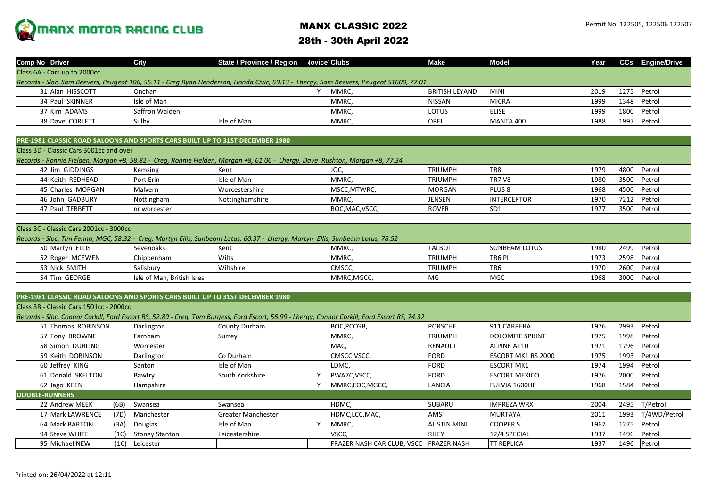

## MANX CLASSIC 2022

28th - 30th April 2022

| <b>Comp No Driver</b>                                                                                                                 |      | <b>City</b>                | State / Province / Region    Vovice Clubs                                                                                     |          |                                                                                                                                               | <b>Make</b>           | <b>Model</b>           | Year |      | <b>CCs</b> Engine/Drive |  |  |
|---------------------------------------------------------------------------------------------------------------------------------------|------|----------------------------|-------------------------------------------------------------------------------------------------------------------------------|----------|-----------------------------------------------------------------------------------------------------------------------------------------------|-----------------------|------------------------|------|------|-------------------------|--|--|
| Class 6A - Cars up to 2000cc                                                                                                          |      |                            |                                                                                                                               |          |                                                                                                                                               |                       |                        |      |      |                         |  |  |
| Records - Sloc, Sam Beevers, Peugeot 106, 55.11 - Creg Ryan Henderson, Honda Civic, 59.13 - Lhergy, Sam Beevers, Peugeot S1600, 77.01 |      |                            |                                                                                                                               |          |                                                                                                                                               |                       |                        |      |      |                         |  |  |
| 31 Alan HISSCOTT                                                                                                                      |      | Onchan                     |                                                                                                                               | Y        | MMRC,                                                                                                                                         | <b>BRITISH LEYAND</b> | <b>MINI</b>            | 2019 | 1275 | Petrol                  |  |  |
| 34 Paul SKINNER                                                                                                                       |      | Isle of Man                |                                                                                                                               |          | MMRC,                                                                                                                                         | <b>NISSAN</b>         | <b>MICRA</b>           | 1999 | 1348 | Petrol                  |  |  |
| 37 Kim ADAMS                                                                                                                          |      | Saffron Walden             |                                                                                                                               |          | MMRC,                                                                                                                                         | LOTUS                 | <b>ELISE</b>           | 1999 | 1800 | Petrol                  |  |  |
| 38 Dave CORLETT                                                                                                                       |      | Sulby                      | Isle of Man                                                                                                                   |          | MMRC,                                                                                                                                         | OPEL                  | <b>MANTA 400</b>       | 1988 | 1997 | Petrol                  |  |  |
|                                                                                                                                       |      |                            |                                                                                                                               |          |                                                                                                                                               |                       |                        |      |      |                         |  |  |
| PRE-1981 CLASSIC ROAD SALOONS AND SPORTS CARS BUILT UP TO 31ST DECEMBER 1980                                                          |      |                            |                                                                                                                               |          |                                                                                                                                               |                       |                        |      |      |                         |  |  |
| Class 3D - Classic Cars 3001cc and over                                                                                               |      |                            |                                                                                                                               |          |                                                                                                                                               |                       |                        |      |      |                         |  |  |
|                                                                                                                                       |      |                            | Records - Ronnie Fielden, Morgan +8, 58.82 - Creq, Ronnie Fielden, Morgan +8, 61.06 - Lhergy, Dave Rushton, Morgan +8, 77.34  |          |                                                                                                                                               |                       |                        |      |      |                         |  |  |
| 42 Jim GIDDINGS                                                                                                                       |      | Kemsing                    | Kent                                                                                                                          |          | JOC,                                                                                                                                          | <b>TRIUMPH</b>        | TR8                    | 1979 | 4800 | Petrol                  |  |  |
| 44 Keith REDHEAD                                                                                                                      |      | Port Erin                  | Isle of Man                                                                                                                   |          | MMRC,                                                                                                                                         | <b>TRIUMPH</b>        | <b>TR7 V8</b>          | 1980 | 3500 | Petrol                  |  |  |
| 45 Charles MORGAN                                                                                                                     |      | Malvern                    | Worcestershire                                                                                                                |          | MSCC, MTWRC,                                                                                                                                  | <b>MORGAN</b>         | PLUS <sub>8</sub>      | 1968 | 4500 | Petrol                  |  |  |
| 46 John GADBURY                                                                                                                       |      | Nottingham                 | Nottinghamshire                                                                                                               |          | MMRC,                                                                                                                                         | JENSEN                | <b>INTERCEPTOR</b>     | 1970 | 7212 | Petrol                  |  |  |
| 47 Paul TEBBETT                                                                                                                       |      | nr worcester               |                                                                                                                               |          | BOC, MAC, VSCC,                                                                                                                               | <b>ROVER</b>          | SD <sub>1</sub>        | 1977 | 3500 | Petrol                  |  |  |
|                                                                                                                                       |      |                            |                                                                                                                               |          |                                                                                                                                               |                       |                        |      |      |                         |  |  |
| Class 3C - Classic Cars 2001cc - 3000cc                                                                                               |      |                            |                                                                                                                               |          |                                                                                                                                               |                       |                        |      |      |                         |  |  |
|                                                                                                                                       |      |                            | Records - Sloc, Tim Fenna, MGC, 58.32 - Creq, Martyn Ellis, Sunbeam Lotus, 60.37 - Lherqy, Martyn Ellis, Sunbeam Lotus, 78.52 |          |                                                                                                                                               |                       |                        |      |      |                         |  |  |
| 50 Martyn ELLIS                                                                                                                       |      | Sevenoaks                  | Kent                                                                                                                          |          | MMRC,                                                                                                                                         | <b>TALBOT</b>         | <b>SUNBEAM LOTUS</b>   | 1980 | 2499 | Petrol                  |  |  |
| 52 Roger MCEWEN                                                                                                                       |      | Chippenham                 | Wilts                                                                                                                         |          | MMRC,                                                                                                                                         | <b>TRIUMPH</b>        | TR6 PI                 | 1973 | 2598 | Petrol                  |  |  |
| 53 Nick SMITH                                                                                                                         |      | Salisbury                  | Wiltshire                                                                                                                     |          | CMSCC,                                                                                                                                        | <b>TRIUMPH</b>        | TR <sub>6</sub>        | 1970 | 2600 | Petrol                  |  |  |
| 54 Tim GEORGE                                                                                                                         |      | Isle of Man, British Isles |                                                                                                                               |          | MMRC, MGCC,                                                                                                                                   | MG                    | MGC                    | 1968 | 3000 | Petrol                  |  |  |
|                                                                                                                                       |      |                            |                                                                                                                               |          |                                                                                                                                               |                       |                        |      |      |                         |  |  |
| PRE-1981 CLASSIC ROAD SALOONS AND SPORTS CARS BUILT UP TO 31ST DECEMBER 1980                                                          |      |                            |                                                                                                                               |          |                                                                                                                                               |                       |                        |      |      |                         |  |  |
| Class 3B - Classic Cars 1501cc - 2000cc                                                                                               |      |                            |                                                                                                                               |          |                                                                                                                                               |                       |                        |      |      |                         |  |  |
|                                                                                                                                       |      |                            |                                                                                                                               |          | Records - Sloc, Connor Corkill, Ford Escort RS, 52.89 - Creq, Tom Burgess, Ford Escort, 56.99 - Lhergy, Connor Corkill, Ford Escort RS, 74.32 |                       |                        |      |      |                         |  |  |
| 51 Thomas ROBINSON                                                                                                                    |      | Darlington                 | <b>County Durham</b>                                                                                                          |          | BOC, PCCGB,                                                                                                                                   | <b>PORSCHE</b>        | 911 CARRERA            | 1976 | 2993 | Petrol                  |  |  |
| 57 Tony BROWNE                                                                                                                        |      | Farnham                    | Surrey                                                                                                                        |          | MMRC,                                                                                                                                         | <b>TRIUMPH</b>        | <b>DOLOMITE SPRINT</b> | 1975 | 1998 | Petrol                  |  |  |
| 58 Simon DURLING                                                                                                                      |      | Worcester                  |                                                                                                                               |          | MAC,                                                                                                                                          | <b>RENAULT</b>        | ALPINE A110            | 1971 | 1796 | Petrol                  |  |  |
| 59 Keith DOBINSON                                                                                                                     |      | Darlington                 | Co Durham                                                                                                                     |          | CMSCC, VSCC,                                                                                                                                  | <b>FORD</b>           | ESCORT MK1 RS 2000     | 1975 | 1993 | Petrol                  |  |  |
| 60 Jeffrey KING                                                                                                                       |      | Santon                     | Isle of Man                                                                                                                   |          | LDMC.                                                                                                                                         | <b>FORD</b>           | <b>ESCORT MK1</b>      | 1974 | 1994 | Petrol                  |  |  |
| 61 Donald SKELTON                                                                                                                     |      | Bawtry                     | South Yorkshire                                                                                                               | <b>V</b> | PWA7C, VSCC,                                                                                                                                  | <b>FORD</b>           | <b>ESCORT MEXICO</b>   | 1976 | 2000 | Petrol                  |  |  |
| 62 Jago KEEN                                                                                                                          |      | Hampshire                  |                                                                                                                               | Y        | MMRC,FOC,MGCC,                                                                                                                                | LANCIA                | FULVIA 1600HF          | 1968 | 1584 | Petrol                  |  |  |
| <b>DOUBLE-RUNNERS</b>                                                                                                                 |      |                            |                                                                                                                               |          |                                                                                                                                               |                       |                        |      |      |                         |  |  |
| 22 Andrew MEEK                                                                                                                        | (6B) | Swansea                    | Swansea                                                                                                                       |          | HDMC,                                                                                                                                         | SUBARU                | <b>IMPREZA WRX</b>     | 2004 | 2495 | T/Petrol                |  |  |
| 17 Mark LAWRENCE                                                                                                                      | (7D) | Manchester                 | <b>Greater Manchester</b>                                                                                                     |          | HDMC, LCC, MAC,                                                                                                                               | AMS                   | <b>MURTAYA</b>         | 2011 | 1993 | T/4WD/Petrol            |  |  |
| 64 Mark BARTON                                                                                                                        | (3A) | Douglas                    | Isle of Man                                                                                                                   | Y        | MMRC,                                                                                                                                         | <b>AUSTIN MINI</b>    | <b>COOPER S</b>        | 1967 | 1275 | Petrol                  |  |  |
| 94 Steve WHITE                                                                                                                        | (1C) | <b>Stoney Stanton</b>      | Leicestershire                                                                                                                |          | VSCC,                                                                                                                                         | <b>RILEY</b>          | 12/4 SPECIAL           | 1937 | 1496 | Petrol                  |  |  |
| 95 Michael NEW                                                                                                                        | (1C) | Leicester                  |                                                                                                                               |          | FRAZER NASH CAR CLUB, VSCC FRAZER NASH                                                                                                        |                       | <b>TT REPLICA</b>      | 1937 | 1496 | Petrol                  |  |  |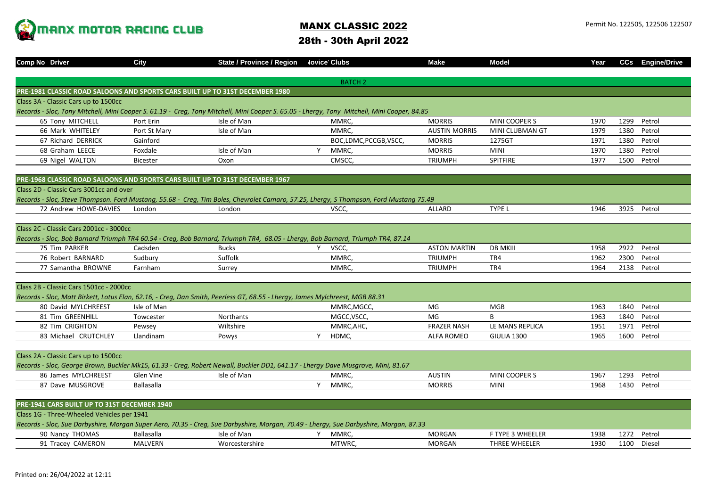

## MANX CLASSIC 2022

28th - 30th April 2022

| Comp No Driver                                                                                                                                                                      | City              | <b>State / Province / Region</b> |   | <b>Jovice Clubs</b>  | <b>Make</b>          | <b>Model</b>           | Year |      | <b>CCs</b> Engine/Drive |  |  |  |  |
|-------------------------------------------------------------------------------------------------------------------------------------------------------------------------------------|-------------------|----------------------------------|---|----------------------|----------------------|------------------------|------|------|-------------------------|--|--|--|--|
|                                                                                                                                                                                     |                   |                                  |   |                      |                      |                        |      |      |                         |  |  |  |  |
|                                                                                                                                                                                     |                   |                                  |   | <b>BATCH 2</b>       |                      |                        |      |      |                         |  |  |  |  |
| PRE-1981 CLASSIC ROAD SALOONS AND SPORTS CARS BUILT UP TO 31ST DECEMBER 1980                                                                                                        |                   |                                  |   |                      |                      |                        |      |      |                         |  |  |  |  |
| Class 3A - Classic Cars up to 1500cc<br>Records - Sloc, Tony Mitchell, Mini Cooper S. 61.19 - Creq, Tony Mitchell, Mini Cooper S. 65.05 - Lhergy, Tony Mitchell, Mini Cooper, 84.85 |                   |                                  |   |                      |                      |                        |      |      |                         |  |  |  |  |
| 65 Tony MITCHELL                                                                                                                                                                    | Port Erin         | Isle of Man                      |   | MMRC,                | <b>MORRIS</b>        | MINI COOPER S          | 1970 | 1299 | Petrol                  |  |  |  |  |
| 66 Mark WHITELEY                                                                                                                                                                    | Port St Mary      | Isle of Man                      |   | MMRC.                | <b>AUSTIN MORRIS</b> | <b>MINI CLUBMAN GT</b> | 1979 | 1380 | Petrol                  |  |  |  |  |
| 67 Richard DERRICK                                                                                                                                                                  | Gainford          |                                  |   | BOC,LDMC,PCCGB,VSCC, | <b>MORRIS</b>        | 1275GT                 | 1971 | 1380 | Petrol                  |  |  |  |  |
| 68 Graham LEECE                                                                                                                                                                     | Foxdale           | Isle of Man                      | Y | MMRC,                | <b>MORRIS</b>        | <b>MINI</b>            | 1970 | 1380 | Petrol                  |  |  |  |  |
| 69 Nigel WALTON                                                                                                                                                                     | <b>Bicester</b>   | Oxon                             |   | CMSCC,               | <b>TRIUMPH</b>       | SPITFIRE               | 1977 | 1500 | Petrol                  |  |  |  |  |
|                                                                                                                                                                                     |                   |                                  |   |                      |                      |                        |      |      |                         |  |  |  |  |
| PRE-1968 CLASSIC ROAD SALOONS AND SPORTS CARS BUILT UP TO 31ST DECEMBER 1967                                                                                                        |                   |                                  |   |                      |                      |                        |      |      |                         |  |  |  |  |
| Class 2D - Classic Cars 3001cc and over                                                                                                                                             |                   |                                  |   |                      |                      |                        |      |      |                         |  |  |  |  |
| Records - Sloc, Steve Thompson. Ford Mustang, 55.68 - Creg, Tim Boles, Chevrolet Camaro, 57.25, Lhergy, S Thompson, Ford Mustang 75.49                                              |                   |                                  |   |                      |                      |                        |      |      |                         |  |  |  |  |
| 72 Andrew HOWE-DAVIES                                                                                                                                                               | London            | London                           |   | VSCC,                | ALLARD               | TYPE L                 | 1946 |      | 3925 Petrol             |  |  |  |  |
|                                                                                                                                                                                     |                   |                                  |   |                      |                      |                        |      |      |                         |  |  |  |  |
| Class 2C - Classic Cars 2001cc - 3000cc                                                                                                                                             |                   |                                  |   |                      |                      |                        |      |      |                         |  |  |  |  |
| Records - Sloc, Bob Barnard Triumph TR4 60.54 - Creg, Bob Barnard, Triumph TR4, 68.05 - Lhergy, Bob Barnard, Triumph TR4, 87.14                                                     |                   |                                  |   |                      |                      |                        |      |      |                         |  |  |  |  |
| 75 Tim PARKER                                                                                                                                                                       | Cadsden           | <b>Bucks</b>                     | Υ | VSCC,                | <b>ASTON MARTIN</b>  | <b>DB MKIII</b>        | 1958 | 2922 | Petrol                  |  |  |  |  |
| 76 Robert BARNARD                                                                                                                                                                   | Sudbury           | Suffolk                          |   | MMRC.                | <b>TRIUMPH</b>       | TR4                    | 1962 | 2300 | Petrol                  |  |  |  |  |
| 77 Samantha BROWNE                                                                                                                                                                  | Farnham           | Surrey                           |   | MMRC,                | <b>TRIUMPH</b>       | TR4                    | 1964 | 2138 | Petrol                  |  |  |  |  |
|                                                                                                                                                                                     |                   |                                  |   |                      |                      |                        |      |      |                         |  |  |  |  |
| Class 2B - Classic Cars 1501cc - 2000cc                                                                                                                                             |                   |                                  |   |                      |                      |                        |      |      |                         |  |  |  |  |
| Records - Sloc, Matt Birkett, Lotus Elan, 62.16, - Creg, Dan Smith, Peerless GT, 68.55 - Lhergy, James Mylchreest, MGB 88.31                                                        |                   |                                  |   |                      |                      |                        |      |      |                         |  |  |  |  |
| 80 David MYLCHREEST                                                                                                                                                                 | Isle of Man       |                                  |   | MMRC, MGCC,          | MG                   | <b>MGB</b>             | 1963 | 1840 | Petrol                  |  |  |  |  |
| 81 Tim GREENHILL                                                                                                                                                                    | Towcester         | <b>Northants</b>                 |   | MGCC, VSCC,          | MG                   | B                      | 1963 | 1840 | Petrol                  |  |  |  |  |
| 82 Tim CRIGHTON                                                                                                                                                                     | Pewsey            | Wiltshire                        |   | MMRC, AHC,           | <b>FRAZER NASH</b>   | LE MANS REPLICA        | 1951 | 1971 | Petrol                  |  |  |  |  |
| 83 Michael CRUTCHLEY                                                                                                                                                                | Llandinam         | Powys                            | Y | HDMC,                | <b>ALFA ROMEO</b>    | GIULIA 1300            | 1965 | 1600 | Petrol                  |  |  |  |  |
|                                                                                                                                                                                     |                   |                                  |   |                      |                      |                        |      |      |                         |  |  |  |  |
| Class 2A - Classic Cars up to 1500cc                                                                                                                                                |                   |                                  |   |                      |                      |                        |      |      |                         |  |  |  |  |
| Records - Sloc, George Brown, Buckler Mk15, 61.33 - Creg, Robert Newall, Buckler DD1, 641.17 - Lhergy Dave Musgrove, Mini, 81.67                                                    |                   |                                  |   |                      |                      |                        |      |      |                         |  |  |  |  |
| 86 James MYLCHREEST                                                                                                                                                                 | Glen Vine         | Isle of Man                      |   | MMRC,                | <b>AUSTIN</b>        | MINI COOPER S          | 1967 | 1293 | Petrol                  |  |  |  |  |
| 87 Dave MUSGROVE                                                                                                                                                                    | <b>Ballasalla</b> |                                  | Y | MMRC,                | <b>MORRIS</b>        | <b>MINI</b>            | 1968 | 1430 | Petrol                  |  |  |  |  |
|                                                                                                                                                                                     |                   |                                  |   |                      |                      |                        |      |      |                         |  |  |  |  |
| PRE-1941 CARS BUILT UP TO 31ST DECEMBER 1940                                                                                                                                        |                   |                                  |   |                      |                      |                        |      |      |                         |  |  |  |  |
| Class 1G - Three-Wheeled Vehicles per 1941                                                                                                                                          |                   |                                  |   |                      |                      |                        |      |      |                         |  |  |  |  |
| Records - Sloc, Sue Darbyshire, Morgan Super Aero, 70.35 - Creg, Sue Darbyshire, Morgan, 70.49 - Lhergy, Sue Darbyshire, Morgan, 87.33                                              |                   |                                  |   |                      |                      |                        |      |      |                         |  |  |  |  |
| 90 Nancy THOMAS                                                                                                                                                                     | <b>Ballasalla</b> | Isle of Man                      | Y | MMRC,                | <b>MORGAN</b>        | F TYPE 3 WHEELER       | 1938 |      | 1272 Petrol             |  |  |  |  |
| 91 Tracey CAMERON                                                                                                                                                                   | MALVERN           | Worcestershire                   |   | MTWRC,               | <b>MORGAN</b>        | THREE WHEELER          | 1930 | 1100 | Diesel                  |  |  |  |  |